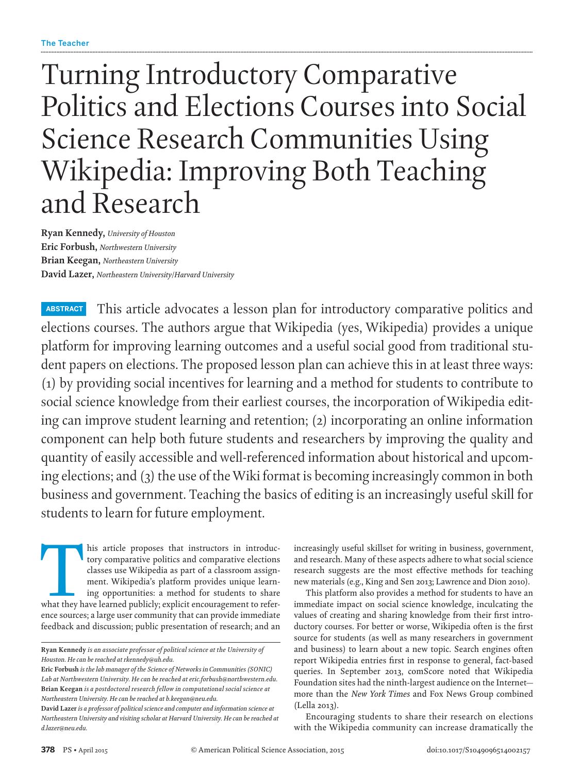## Turning Introductory Comparative Politics and Elections Courses into Social Science Research Communities Using Wikipedia: Improving Both Teaching and Research

 **Ryan Kennedy ,** *University of Houston*  Eric Forbush, Northwestern University **Brian Keegan, Northeastern University David Lazer ,** *Northeastern University/Harvard University* 

**ABSTRACT** This article advocates a lesson plan for introductory comparative politics and elections courses. The authors argue that Wikipedia (yes, Wikipedia) provides a unique platform for improving learning outcomes and a useful social good from traditional student papers on elections. The proposed lesson plan can achieve this in at least three ways: (1) by providing social incentives for learning and a method for students to contribute to social science knowledge from their earliest courses, the incorporation of Wikipedia editing can improve student learning and retention; (2) incorporating an online information component can help both future students and researchers by improving the quality and quantity of easily accessible and well-referenced information about historical and upcoming elections; and (3) the use of the Wiki format is becoming increasingly common in both business and government. Teaching the basics of editing is an increasingly useful skill for students to learn for future employment.

This article proposes that instructors in introductory comparative politics and comparative elections classes use Wikipedia as part of a classroom assignment. Wikipedia's platform provides unique learning opportunities: a tory comparative politics and comparative elections classes use Wikipedia as part of a classroom assignment. Wikipedia's platform provides unique learning opportunities: a method for students to share ence sources; a large user community that can provide immediate feedback and discussion; public presentation of research; and an

increasingly useful skillset for writing in business, government, and research. Many of these aspects adhere to what social science research suggests are the most effective methods for teaching new materials (e.g., King and Sen 2013; Lawrence and Dion 2010).

 This platform also provides a method for students to have an immediate impact on social science knowledge, inculcating the values of creating and sharing knowledge from their first introductory courses. For better or worse, Wikipedia often is the first source for students (as well as many researchers in government and business) to learn about a new topic. Search engines often report Wikipedia entries first in response to general, fact-based queries. In September 2013, comScore noted that Wikipedia Foundation sites had the ninth-largest audience on the Internet more than the *New York Times* and Fox News Group combined (Lella 2013).

 Encouraging students to share their research on elections with the Wikipedia community can increase dramatically the

**Ryan Kennedy** *is an associate professor of political science at the University of Houston. He can be reached at rkennedy@uh.edu .* 

**Eric Forbush** *is the lab manager of the Science of Networks in Communities (SONIC) Lab at Northwestern University. He can be reached at eric.forbush@northwestern.edu .*  **Brian Keegan** *is a postdoctoral research fellow in computational social science at Northeastern University. He can be reached at b.keegan@neu.edu .* 

**David Lazer** *is a professor of political science and computer and information science at Northeastern University and visiting scholar at Harvard University. He can be reached at d.lazer@neu.edu .*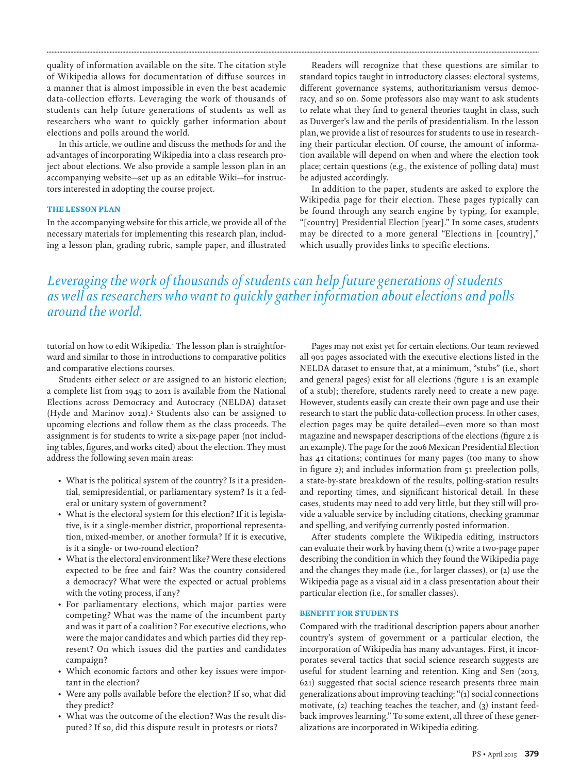quality of information available on the site. The citation style of Wikipedia allows for documentation of diffuse sources in a manner that is almost impossible in even the best academic data-collection efforts. Leveraging the work of thousands of students can help future generations of students as well as researchers who want to quickly gather information about elections and polls around the world.

 In this article, we outline and discuss the methods for and the advantages of incorporating Wikipedia into a class research project about elections. We also provide a sample lesson plan in an accompanying website—set up as an editable Wiki—for instructors interested in adopting the course project.

#### **THE LESSON PLAN**

 In the accompanying website for this article, we provide all of the necessary materials for implementing this research plan, including a lesson plan, grading rubric, sample paper, and illustrated

 Readers will recognize that these questions are similar to standard topics taught in introductory classes: electoral systems, different governance systems, authoritarianism versus democracy, and so on. Some professors also may want to ask students to relate what they find to general theories taught in class, such as Duverger's law and the perils of presidentialism. In the lesson plan, we provide a list of resources for students to use in researching their particular election. Of course, the amount of information available will depend on when and where the election took place; certain questions (e.g., the existence of polling data) must be adjusted accordingly.

 In addition to the paper, students are asked to explore the Wikipedia page for their election. These pages typically can be found through any search engine by typing, for example, "[country] Presidential Election [year]." In some cases, students may be directed to a more general "Elections in [country]," which usually provides links to specific elections.

## *Leveraging the work of thousands of students can help future generations of students as well as researchers who want to quickly gather information about elections and polls around the world.*

**.........................................................................................................................................................................................................................................................................................................................**

tutorial on how to edit Wikipedia.<sup>1</sup> The lesson plan is straightforward and similar to those in introductions to comparative politics and comparative elections courses.

 Students either select or are assigned to an historic election; a complete list from 1945 to 2011 is available from the National Elections across Democracy and Autocracy (NELDA) dataset (Hyde and Marinov 2012).<sup>2</sup> Students also can be assigned to upcoming elections and follow them as the class proceeds. The assignment is for students to write a six-page paper (not including tables, figures, and works cited) about the election. They must address the following seven main areas:

- What is the political system of the country? Is it a presidential, semipresidential, or parliamentary system? Is it a federal or unitary system of government?
- What is the electoral system for this election? If it is legislative, is it a single-member district, proportional representation, mixed-member, or another formula? If it is executive, is it a single- or two-round election?
- What is the electoral environment like? Were these elections expected to be free and fair? Was the country considered a democracy? What were the expected or actual problems with the voting process, if any?
- For parliamentary elections, which major parties were competing? What was the name of the incumbent party and was it part of a coalition? For executive elections, who were the major candidates and which parties did they represent? On which issues did the parties and candidates campaign?
- Which economic factors and other key issues were important in the election?
- Were any polls available before the election? If so, what did they predict?
- What was the outcome of the election? Was the result disputed? If so, did this dispute result in protests or riots?

 Pages may not exist yet for certain elections. Our team reviewed all 901 pages associated with the executive elections listed in the NELDA dataset to ensure that, at a minimum, "stubs" (i.e., short and general pages) exist for all elections (figure 1 is an example of a stub); therefore, students rarely need to create a new page. However, students easily can create their own page and use their research to start the public data-collection process. In other cases, election pages may be quite detailed—even more so than most magazine and newspaper descriptions of the elections (figure 2 is an example). The page for the 2006 Mexican Presidential Election has 41 citations; continues for many pages (too many to show in figure 2); and includes information from 51 preelection polls, a state-by-state breakdown of the results, polling-station results and reporting times, and significant historical detail. In these cases, students may need to add very little, but they still will provide a valuable service by including citations, checking grammar and spelling, and verifying currently posted information.

 After students complete the Wikipedia editing, instructors can evaluate their work by having them (1) write a two-page paper describing the condition in which they found the Wikipedia page and the changes they made (i.e., for larger classes), or (2) use the Wikipedia page as a visual aid in a class presentation about their particular election (i.e., for smaller classes).

#### **BENEFIT FOR STUDENTS**

 Compared with the traditional description papers about another country's system of government or a particular election, the incorporation of Wikipedia has many advantages. First, it incorporates several tactics that social science research suggests are useful for student learning and retention. King and Sen (2013, 621) suggested that social science research presents three main generalizations about improving teaching: "(1) social connections motivate, (2) teaching teaches the teacher, and (3) instant feedback improves learning." To some extent, all three of these generalizations are incorporated in Wikipedia editing.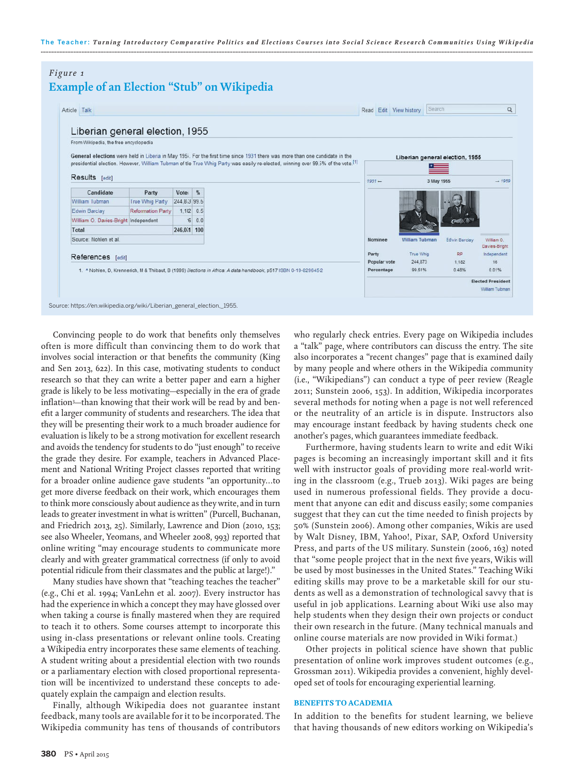#### *F i g u r e 1*   **Example of an Election "Stub" on Wikipedia**

|                                                                                                                                             | Liberian general election, 1955                                                                                 |              |     |  |              |                                 |               |                             |
|---------------------------------------------------------------------------------------------------------------------------------------------|-----------------------------------------------------------------------------------------------------------------|--------------|-----|--|--------------|---------------------------------|---------------|-----------------------------|
| From Wikipedia, the free encyclopedia                                                                                                       |                                                                                                                 |              |     |  |              |                                 |               |                             |
| General elections were held in Liberia in May 1955. For the first time since 1931 there was more than one candidate in the                  |                                                                                                                 |              |     |  |              | Liberian general election, 1955 |               |                             |
| presidential election. However, William Tubman of the True Whig Party was easily re-elected, winning over 99.5% of the vote. <sup>[1]</sup> |                                                                                                                 |              |     |  |              |                                 |               |                             |
| Results [edit]                                                                                                                              |                                                                                                                 |              |     |  |              |                                 |               |                             |
|                                                                                                                                             |                                                                                                                 |              |     |  | $1951 -$     |                                 | 3 May 1955    | $-1959$                     |
| Candidate                                                                                                                                   | Party                                                                                                           | <b>Votes</b> | %   |  |              |                                 |               |                             |
| William Tubman                                                                                                                              | True Whig Party                                                                                                 | 244,873 99.5 |     |  |              |                                 |               |                             |
| Edwin Barclay                                                                                                                               | <b>Reformation Party</b>                                                                                        | $1.182$ 0.5  |     |  |              |                                 |               |                             |
| William O. Davies-Bright Independent                                                                                                        |                                                                                                                 | 16           | 0.0 |  |              |                                 |               |                             |
| Total                                                                                                                                       |                                                                                                                 | 246,071 100  |     |  |              |                                 |               |                             |
| Source: Nohlen et al.                                                                                                                       |                                                                                                                 |              |     |  | Nominee      | <b>William Tubman</b>           | Edwin Barclay | William O.<br>Davies-Bright |
| References [edit]                                                                                                                           |                                                                                                                 |              |     |  | Party        | True Whig                       | <b>RP</b>     | independent                 |
|                                                                                                                                             |                                                                                                                 |              |     |  | Popular vote | 244,873                         | 1.182         | 16                          |
|                                                                                                                                             | 1. ^ Nohlen, D. Krennerich, M & Thibaut, B (1999) Elections in Africa: A data handbook, p517 ISBN 0-19-829645-2 |              |     |  | Percentage   | 99.51%                          | 0.48%         | 0.01%                       |
|                                                                                                                                             |                                                                                                                 |              |     |  |              |                                 |               | <b>Elected President</b>    |

Convincing people to do work that benefits only themselves often is more difficult than convincing them to do work that involves social interaction or that benefits the community (King and Sen 2013, 622). In this case, motivating students to conduct research so that they can write a better paper and earn a higher grade is likely to be less motivating—especially in the era of grade inflation<sup>3</sup>-than knowing that their work will be read by and benefit a larger community of students and researchers. The idea that they will be presenting their work to a much broader audience for evaluation is likely to be a strong motivation for excellent research and avoids the tendency for students to do "just enough" to receive the grade they desire. For example, teachers in Advanced Placement and National Writing Project classes reported that writing for a broader online audience gave students "an opportunity…to get more diverse feedback on their work, which encourages them to think more consciously about audience as they write, and in turn leads to greater investment in what is written" (Purcell, Buchanan, and Friedrich 2013, 25). Similarly, Lawrence and Dion (2010, 153; see also Wheeler, Yeomans, and Wheeler 2008, 993) reported that online writing "may encourage students to communicate more clearly and with greater grammatical correctness (if only to avoid potential ridicule from their classmates and the public at large!)."

 Many studies have shown that "teaching teaches the teacher" (e.g., Chi et al. 1994; VanLehn et al. 2007). Every instructor has had the experience in which a concept they may have glossed over when taking a course is finally mastered when they are required to teach it to others. Some courses attempt to incorporate this using in-class presentations or relevant online tools. Creating a Wikipedia entry incorporates these same elements of teaching. A student writing about a presidential election with two rounds or a parliamentary election with closed proportional representation will be incentivized to understand these concepts to adequately explain the campaign and election results.

 Finally, although Wikipedia does not guarantee instant feedback, many tools are available for it to be incorporated. The Wikipedia community has tens of thousands of contributors

who regularly check entries. Every page on Wikipedia includes a "talk" page, where contributors can discuss the entry. The site also incorporates a "recent changes" page that is examined daily by many people and where others in the Wikipedia community (i.e., "Wikipedians") can conduct a type of peer review (Reagle 2011; Sunstein 2006, 153). In addition, Wikipedia incorporates several methods for noting when a page is not well referenced or the neutrality of an article is in dispute. Instructors also may encourage instant feedback by having students check one another's pages, which guarantees immediate feedback.

 Furthermore, having students learn to write and edit Wiki pages is becoming an increasingly important skill and it fits well with instructor goals of providing more real-world writing in the classroom (e.g., Trueb 2013). Wiki pages are being used in numerous professional fields. They provide a document that anyone can edit and discuss easily; some companies suggest that they can cut the time needed to finish projects by 50% (Sunstein 2006). Among other companies, Wikis are used by Walt Disney, IBM, Yahoo!, Pixar, SAP, Oxford University Press, and parts of the US military. Sunstein (2006, 163) noted that "some people project that in the next five years, Wikis will be used by most businesses in the United States." Teaching Wiki editing skills may prove to be a marketable skill for our students as well as a demonstration of technological savvy that is useful in job applications. Learning about Wiki use also may help students when they design their own projects or conduct their own research in the future. (Many technical manuals and online course materials are now provided in Wiki format.)

 Other projects in political science have shown that public presentation of online work improves student outcomes (e.g., Grossman 2011). Wikipedia provides a convenient, highly developed set of tools for encouraging experiential learning.

#### **BENEFITS TO ACADEMIA**

 In addition to the benefits for student learning, we believe that having thousands of new editors working on Wikipedia's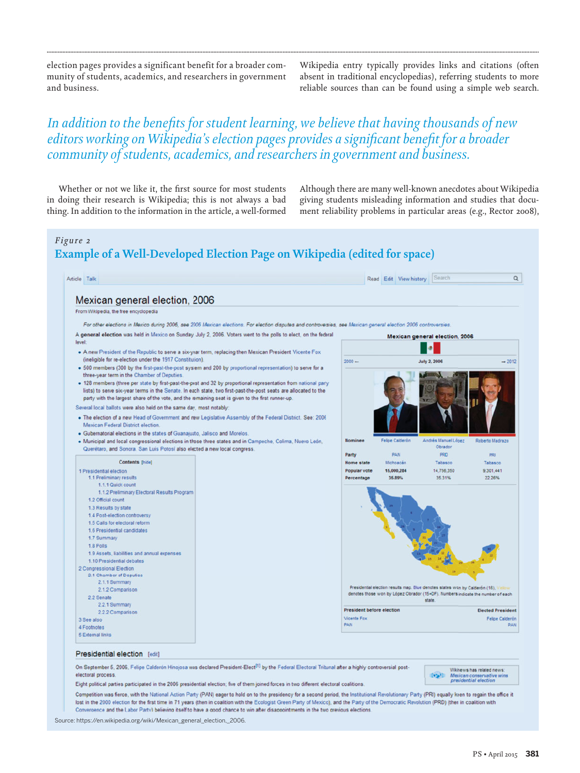election pages provides a significant benefit for a broader community of students, academics, and researchers in government and business.

Wikipedia entry typically provides links and citations (often absent in traditional encyclopedias), referring students to more reliable sources than can be found using a simple web search.

### In addition to the benefits for student learning, we believe that having thousands of new *editors working on Wikipedia's election pages provides a significant benefit for a broader community of students, academics, and researchers in government and business.*

**.........................................................................................................................................................................................................................................................................................................................**

Whether or not we like it, the first source for most students in doing their research is Wikipedia; this is not always a bad thing. In addition to the information in the article, a well-formed Although there are many well-known anecdotes about Wikipedia giving students misleading information and studies that document reliability problems in particular areas (e.g., Rector 2008),



Competition was fierce, with the National Action Party (PAN) eager to hold on to the presidency for a second period, the Institutional Revolutionary Party (PRI) equally keen to regain the office it lost in the 2000 election for the first time in 71 years (then in coalition with the Ecologist Green Party of Mexico), and the Party of the Democratic Revolution (PRD) (then in coalition with Conver ence and the Labor Party) believing itself to have a good chance to win after disappointments in the two previous elections

Source: https://en.wikipedia.org/wiki/Mexican\_general\_election,\_2006.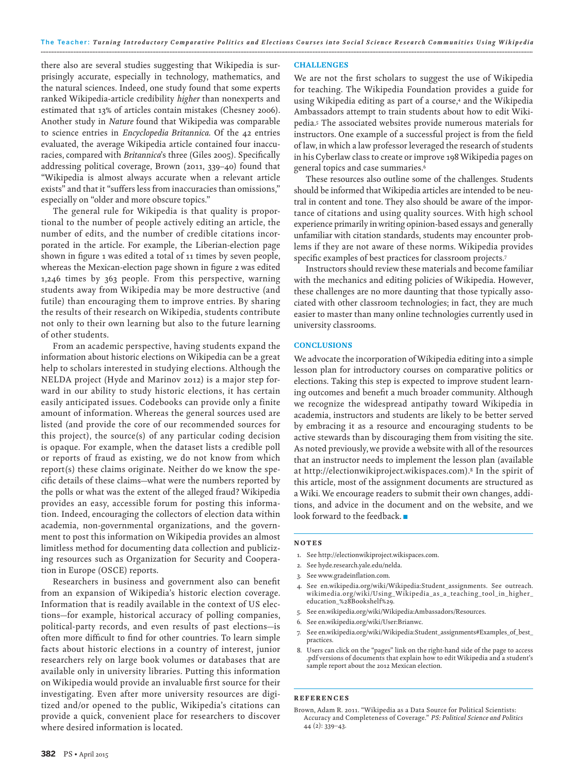there also are several studies suggesting that Wikipedia is surprisingly accurate, especially in technology, mathematics, and the natural sciences. Indeed, one study found that some experts ranked Wikipedia-article credibility *higher* than nonexperts and estimated that 13% of articles contain mistakes (Chesney 2006). Another study in *Nature* found that Wikipedia was comparable to science entries in *Encyclopedia Britannica* . Of the 42 entries evaluated, the average Wikipedia article contained four inaccuracies, compared with *Britannica's* three (Giles 2005). Specifically addressing political coverage, Brown (2011, 339–40) found that "Wikipedia is almost always accurate when a relevant article exists" and that it "suffers less from inaccuracies than omissions," especially on "older and more obscure topics."

 The general rule for Wikipedia is that quality is proportional to the number of people actively editing an article, the number of edits, and the number of credible citations incorporated in the article. For example, the Liberian-election page shown in figure 1 was edited a total of 11 times by seven people, whereas the Mexican-election page shown in figure 2 was edited 1,246 times by 363 people. From this perspective, warning students away from Wikipedia may be more destructive (and futile) than encouraging them to improve entries. By sharing the results of their research on Wikipedia, students contribute not only to their own learning but also to the future learning of other students.

 From an academic perspective, having students expand the information about historic elections on Wikipedia can be a great help to scholars interested in studying elections. Although the NELDA project (Hyde and Marinov 2012) is a major step forward in our ability to study historic elections, it has certain easily anticipated issues. Codebooks can provide only a finite amount of information. Whereas the general sources used are listed (and provide the core of our recommended sources for this project), the source(s) of any particular coding decision is opaque. For example, when the dataset lists a credible poll or reports of fraud as existing, we do not know from which report(s) these claims originate. Neither do we know the specific details of these claims—what were the numbers reported by the polls or what was the extent of the alleged fraud? Wikipedia provides an easy, accessible forum for posting this information. Indeed, encouraging the collectors of election data within academia, non-governmental organizations, and the government to post this information on Wikipedia provides an almost limitless method for documenting data collection and publicizing resources such as Organization for Security and Cooperation in Europe (OSCE) reports.

Researchers in business and government also can benefit from an expansion of Wikipedia's historic election coverage. Information that is readily available in the context of US elections—for example, historical accuracy of polling companies, political-party records, and even results of past elections—is often more difficult to find for other countries. To learn simple facts about historic elections in a country of interest, junior researchers rely on large book volumes or databases that are available only in university libraries. Putting this information on Wikipedia would provide an invaluable first source for their investigating. Even after more university resources are digitized and/or opened to the public, Wikipedia's citations can provide a quick, convenient place for researchers to discover where desired information is located.

#### **CHALLENGES**

We are not the first scholars to suggest the use of Wikipedia for teaching. The Wikipedia Foundation provides a guide for using Wikipedia editing as part of a course,<sup>4</sup> and the Wikipedia Ambassadors attempt to train students about how to edit Wikipedia. 5 The associated websites provide numerous materials for instructors. One example of a successful project is from the field of law, in which a law professor leveraged the research of students in his Cyberlaw class to create or improve 198 Wikipedia pages on general topics and case summaries. 6

 These resources also outline some of the challenges. Students should be informed that Wikipedia articles are intended to be neutral in content and tone. They also should be aware of the importance of citations and using quality sources. With high school experience primarily in writing opinion-based essays and generally unfamiliar with citation standards, students may encounter problems if they are not aware of these norms. Wikipedia provides specific examples of best practices for classroom projects.7

 Instructors should review these materials and become familiar with the mechanics and editing policies of Wikipedia. However, these challenges are no more daunting that those typically associated with other classroom technologies; in fact, they are much easier to master than many online technologies currently used in university classrooms.

#### **CONCLUSIONS**

 We advocate the incorporation of Wikipedia editing into a simple lesson plan for introductory courses on comparative politics or elections. Taking this step is expected to improve student learning outcomes and benefit a much broader community. Although we recognize the widespread antipathy toward Wikipedia in academia, instructors and students are likely to be better served by embracing it as a resource and encouraging students to be active stewards than by discouraging them from visiting the site. As noted previously, we provide a website with all of the resources that an instructor needs to implement the lesson plan (available at http://electionwikiproject.wikispaces.com).<sup>8</sup> In the spirit of this article, most of the assignment documents are structured as a Wiki. We encourage readers to submit their own changes, additions, and advice in the document and on the website, and we look forward to the feedback.

#### **N O T E S**

- 1. See http://electionwikiproject.wikispaces.com .
- 2. See hyde.research.yale.edu/nelda.
- 3. See www.gradeinflation.com.
- 4. See en.wikipedia.org/wiki/Wikipedia:Student\_assignments. See outreach. wikimedia.org/wiki/Using\_Wikipedia\_as\_a\_teaching\_tool\_in\_higher\_ education\_%28Bookshelf%29.
- 5. See en.wikipedia.org/wiki/Wikipedia:Ambassadors/Resources.
- 6. See en.wikipedia.org/wiki/User:Brianwc.
- 7. See en.wikipedia.org/wiki/Wikipedia:Student\_assignments#Examples\_of\_best\_ practices.
- 8. Users can click on the "pages" link on the right-hand side of the page to access .pdf versions of documents that explain how to edit Wikipedia and a student's sample report about the 2012 Mexican election.

#### **R E F E R E N C E S**

Brown, Adam R. 2011. "Wikipedia as a Data Source for Political Scientists: Accuracy and Completeness of Coverage ." *PS: Political Science and Politics*  $44$  (2): 339-43.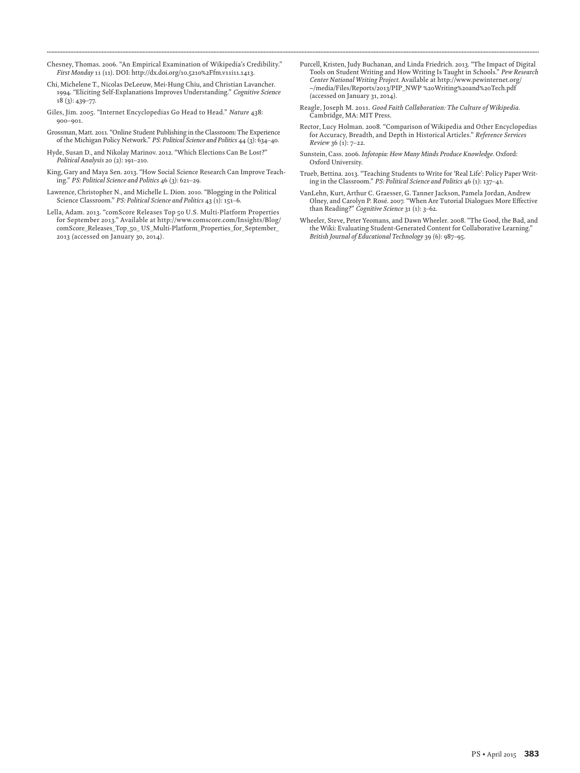- Chesney, Thomas. 2006. "An Empirical Examination of Wikipedia's Credibility." *First Monday* 11 (11). DOI: http://dx.doi.org/10.5210%2Ffm.v11i11.1413.
- Chi, Michelene T., Nicolas DeLeeuw, Mei-Hung Chiu, and Christian Lavancher. 1994 . " Eliciting Self-Explanations Improves Understanding ." *Cognitive Science*  $18$  (3): 439-77.
- Giles, Jim. 2005. "Internet Encyclopedias Go Head to Head." Nature 438: 900-901.
- Grossman, Matt. 2011. "Online Student Publishing in the Classroom: The Experience of the Michigan Policy Network." PS: Political Science and Politics 44 (3): 634-40.
- Hyde, Susan D., and Nikolay Marinov. 2012. "Which Elections Can Be Lost?" *Political Analysis* 20 (2): 191-210.
- King, Gary and Maya Sen. 2013. "How Social Science Research Can Improve Teaching." PS: Political Science and Politics 46 (3): 621-29.
- Lawrence, Christopher N., and Michelle L. Dion. 2010. "Blogging in the Political Science Classroom." *PS: Political Science and Politics* 43 (1): 151-6.
- Lella, Adam. 2013. "comScore Releases Top 50 U.S. Multi-Platform Properties for September 2013." Available at http://www.comscore.com/Insights/Blog/ comScore\_Releases\_Top\_50\_ US\_Multi-Platform\_Properties\_for\_September\_ 2013 (accessed on January 30, 2014).
- Purcell, Kristen, Judy Buchanan, and Linda Friedrich. 2013. "The Impact of Digital Tools on Student Writing and How Writing Is Taught in Schools." *Pew Research Center National Writing Project* . Available at http://www.pewinternet.org/ ∼ /media/Files/Reports/2013/PIP\_NWP %20Writing%20and%20Tech.pdf (accessed on January 31, 2014).
- Reagle, Joseph M. 2011. *Good Faith Collaboration: The Culture of Wikipedia*. Cambridge, MA: MIT Press.

**.........................................................................................................................................................................................................................................................................................................................**

- Rector, Lucy Holman. 2008. "Comparison of Wikipedia and Other Encyclopedias for Accuracy, Breadth, and Depth in Historical Articles ." *Reference Services Review* 36 (1): 7-22.
- Sunstein, Cass. 2006. *Infotopia: How Many Minds Produce Knowledge*. Oxford: Oxford University.
- Trueb, Bettina. 2013. "Teaching Students to Write for 'Real Life': Policy Paper Writing in the Classroom." *PS: Political Science and Politics* 46 (1): 137–41.
- VanLehn, Kurt, Arthur C. Graesser, G. Tanner Jackson, Pamela Jordan, Andrew Olney, and Carolyn P. Rosé. 2007. "When Are Tutorial Dialogues More Effective than Reading?" *Cognitive Science* 31 (1): 3-62.
- Wheeler, Steve, Peter Yeomans, and Dawn Wheeler. 2008. "The Good, the Bad, and the Wiki: Evaluating Student-Generated Content for Collaborative Learning." British Journal of Educational Technology 39 (6): 987-95.